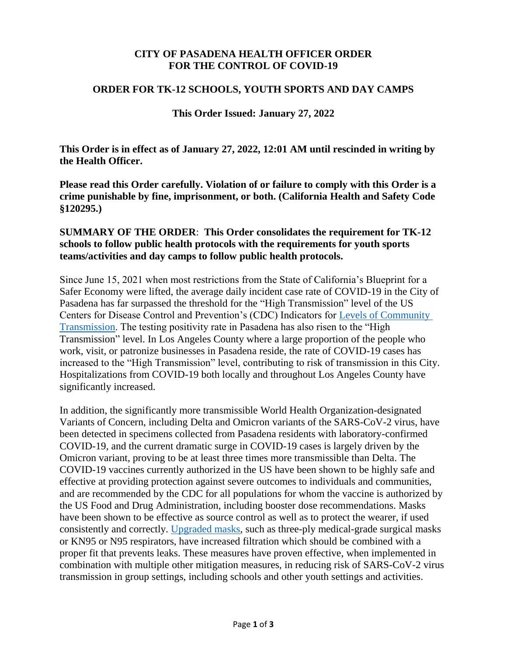# **CITY OF PASADENA HEALTH OFFICER ORDER FOR THE CONTROL OF COVID-19**

### **ORDER FOR TK-12 SCHOOLS, YOUTH SPORTS AND DAY CAMPS**

### **This Order Issued: January 27, 2022**

**This Order is in effect as of January 27, 2022, 12:01 AM until rescinded in writing by the Health Officer.**

**Please read this Order carefully. Violation of or failure to comply with this Order is a crime punishable by fine, imprisonment, or both. (California Health and Safety Code §120295.)**

## **SUMMARY OF THE ORDER**: **This Order consolidates the requirement for TK-12 schools to follow public health protocols with the requirements for youth sports teams/activities and day camps to follow public health protocols.**

Since June 15, 2021 when most restrictions from the State of California's Blueprint for a Safer Economy were lifted, the average daily incident case rate of COVID-19 in the City of Pasadena has far surpassed the threshold for the "High Transmission" level of the US Centers for Disease Control and Prevention's (CDC) Indicators for [Levels of Community](https://covid.cdc.gov/covid-data-tracker/#county-view)  [Transmission.](https://covid.cdc.gov/covid-data-tracker/#county-view) The testing positivity rate in Pasadena has also risen to the "High Transmission" level. In Los Angeles County where a large proportion of the people who work, visit, or patronize businesses in Pasadena reside, the rate of COVID-19 cases has increased to the "High Transmission" level, contributing to risk of transmission in this City. Hospitalizations from COVID-19 both locally and throughout Los Angeles County have significantly increased.

In addition, the significantly more transmissible World Health Organization-designated Variants of Concern, including Delta and Omicron variants of the SARS-CoV-2 virus, have been detected in specimens collected from Pasadena residents with laboratory-confirmed COVID-19, and the current dramatic surge in COVID-19 cases is largely driven by the Omicron variant, proving to be at least three times more transmissible than Delta. The COVID-19 vaccines currently authorized in the US have been shown to be highly safe and effective at providing protection against severe outcomes to individuals and communities, and are recommended by the CDC for all populations for whom the vaccine is authorized by the US Food and Drug Administration, including booster dose recommendations. Masks have been shown to be effective as source control as well as to protect the wearer, if used consistently and correctly. [Upgraded masks,](https://www.cdc.gov/coronavirus/2019-ncov/prevent-getting-sick/types-of-masks.html) such as three-ply medical-grade surgical masks or KN95 or N95 respirators, have increased filtration which should be combined with a proper fit that prevents leaks. These measures have proven effective, when implemented in combination with multiple other mitigation measures, in reducing risk of SARS-CoV-2 virus transmission in group settings, including schools and other youth settings and activities.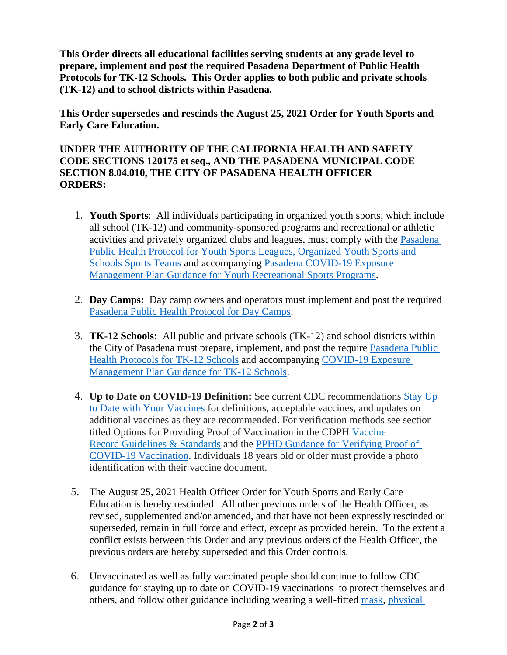**This Order directs all educational facilities serving students at any grade level to prepare, implement and post the required Pasadena Department of Public Health Protocols for TK-12 Schools. This Order applies to both public and private schools (TK-12) and to school districts within Pasadena.**

**This Order supersedes and rescinds the August 25, 2021 Order for Youth Sports and Early Care Education.**

# **UNDER THE AUTHORITY OF THE CALIFORNIA HEALTH AND SAFETY CODE SECTIONS 120175 et seq., AND THE PASADENA MUNICIPAL CODE SECTION 8.04.010, THE CITY OF PASADENA HEALTH OFFICER ORDERS:**

- 1. **Youth Sports**: All individuals participating in organized youth sports, which include all school (TK-12) and community-sponsored programs and recreational or athletic activities and privately organized clubs and leagues, must comply with the [Pasadena](https://www.cityofpasadena.net/public-health/wp-content/uploads/sites/32/Youth-Sports-Protocol.pdf?v=1643260420860)  [Public Health Protocol for Youth Sports Leagues, Organized Youth Sports and](https://www.cityofpasadena.net/public-health/wp-content/uploads/sites/32/Youth-Sports-Protocol.pdf?v=1643260420860)  [Schools Sports Teams](https://www.cityofpasadena.net/public-health/wp-content/uploads/sites/32/Youth-Sports-Protocol.pdf?v=1643260420860) and accompanying [Pasadena COVID-19 Exposure](https://www.cityofpasadena.net/public-health/wp-content/uploads/sites/32/Exposure-Management-Plan-Youth-Sports.pdf?v=1643260420860)  [Management Plan Guidance for Youth Recreational Sports Programs.](https://www.cityofpasadena.net/public-health/wp-content/uploads/sites/32/Exposure-Management-Plan-Youth-Sports.pdf?v=1643260420860)
- 2. **Day Camps:** Day camp owners and operators must implement and post the required [Pasadena Public Health Protocol for Day](https://www.cityofpasadena.net/public-health/wp-content/uploads/sites/32/Day-Camps_Reopening-Protocol.pdf?v=1643260732742) Camps.
- 3. **TK-12 Schools:** All public and private schools (TK-12) and school districts within the City of Pasadena must prepare, implement, and post the require [Pasadena](https://www.cityofpasadena.net/public-health/wp-content/uploads/sites/32/Schools-K-12-Reopening-Protocol.pdf?v=1643260420860) Public [Health Protocols for TK-12 Schools](https://www.cityofpasadena.net/public-health/wp-content/uploads/sites/32/Schools-K-12-Reopening-Protocol.pdf?v=1643260420860) and accompanying [COVID-19 Exposure](https://www.cityofpasadena.net/public-health/wp-content/uploads/sites/32/Exposure-management-plan.pdf?v=1643260420860)  [Management Plan Guidance for TK-12 Schools.](https://www.cityofpasadena.net/public-health/wp-content/uploads/sites/32/Exposure-management-plan.pdf?v=1643260420860)
- 4. **Up to Date on COVID-19 Definition:** See current CDC recommendations [Stay Up](https://www.cdc.gov/coronavirus/2019-ncov/vaccines/stay-up-to-date.html)  [to Date with Your Vaccines](https://www.cdc.gov/coronavirus/2019-ncov/vaccines/stay-up-to-date.html) for definitions, acceptable vaccines, and updates on additional vaccines as they are recommended. For verification methods see section titled Options for Providing Proof of Vaccination in the CDPH [Vaccine](https://www.cdph.ca.gov/Programs/CID/DCDC/Pages/COVID-19/Vaccine-Record-Guidelines-Standards.aspx)  Record [Guidelines & Standards](https://www.cdph.ca.gov/Programs/CID/DCDC/Pages/COVID-19/Vaccine-Record-Guidelines-Standards.aspx) and the [PPHD Guidance for Verifying Proof of](https://www.cityofpasadena.net/public-health/wp-content/uploads/sites/32/Guide-Verifying-Vaccination.pdf)  [COVID-19 Vaccination.](https://www.cityofpasadena.net/public-health/wp-content/uploads/sites/32/Guide-Verifying-Vaccination.pdf) Individuals 18 years old or older must provide a photo identification with their vaccine document.
- 5. The August 25, 2021 Health Officer Order for Youth Sports and Early Care Education is hereby rescinded. All other previous orders of the Health Officer, as revised, supplemented and/or amended, and that have not been expressly rescinded or superseded, remain in full force and effect, except as provided herein. To the extent a conflict exists between this Order and any previous orders of the Health Officer, the previous orders are hereby superseded and this Order controls.
- 6. Unvaccinated as well as fully vaccinated people should continue to follow CDC guidance for staying up to date on COVID-19 vaccinations to protect themselves and others, and follow other guidance including wearing a well-fitted [mask,](https://www.cdc.gov/coronavirus/2019-ncov/prevent-getting-sick/diy-cloth-face-coverings.html) [physical](https://www.cdc.gov/coronavirus/2019-ncov/prevent-getting-sick/social-distancing.html)